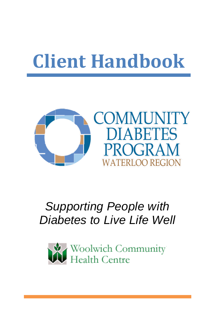# **Client Handbook**



# *Supporting People with Diabetes to Live Life Well*

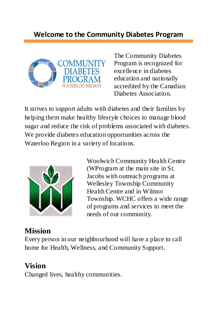

The Community Diabetes Program is recognized for excellence in diabetes education and nationally accredited by the Canadian Diabetes Association.

It strives to support adults with diabetes and their families by helping them make healthy lifestyle choices to manage blood sugar and reduce the risk of problems associated with diabetes. We provide diabetes education opportunities across the Waterloo Region in a variety of locations.



Woolwich Community Health Centre (WProgram at the main site in St. Jacobs with outreach programs at Wellesley Township Community Health Centre and in Wilmot Township. WCHC offers a wide range of programs and services to meet the needs of our community.

# **Mission**

Every person in our neighbourhood will have a place to call home for Health, Wellness, and Community Support.

# **Vision**

Changed lives, healthy communities.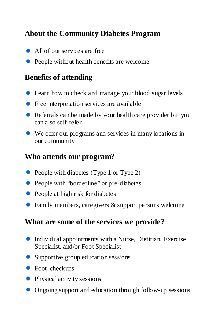### **About the Community Diabetes Program**

- All of our services are free
- People without health benefits are welcome

#### **Benefits of attending**

- Learn how to check and manage your blood sugar levels
- Free interpretation services are available
- Referrals can be made by your health care provider but you can also self-refer
- We offer our programs and services in many locations in our community

#### **Who attends our program?**

- People with diabetes (Type 1 or Type 2)
- People with "borderline" or pre-diabetes
- People at high risk for diabetes
- Family members, caregivers & support persons welcome

#### **What are some of the services we provide?**

- Individual appointments with a Nurse, Dietitian, Exercise Specialist, and/or Foot Specialist
- Supportive group education sessions
- Foot checkups
- Physical activity sessions
- Ongoing support and education through follow-up sessions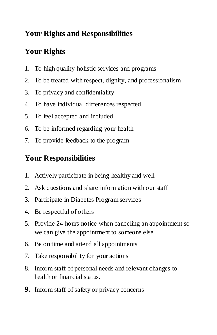# **Your Rights and Responsibilities**

# **Your Rights**

- 1. To high quality holistic services and programs
- 2. To be treated with respect, dignity, and professionalism
- 3. To privacy and confidentiality
- 4. To have individual differences respected
- 5. To feel accepted and included
- 6. To be informed regarding your health
- 7. To provide feedback to the program

# **Your Responsibilities**

- 1. Actively participate in being healthy and well
- 2. Ask questions and share information with our staff
- 3. Participate in Diabetes Program services
- 4. Be respectful of others
- 5. Provide 24 hours notice when canceling an appointment so we can give the appointment to someone else
- 6. Be on time and attend all appointments
- 7. Take responsibility for your actions
- 8. Inform staff of personal needs and relevant changes to health or financial status.
- **9.** Inform staff of safety or privacy concerns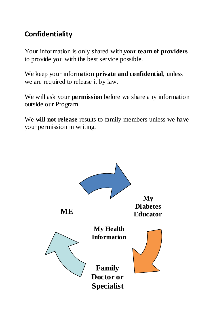#### **Confidentiality**

Your information is only shared with *your* **team of providers** to provide you with the best service possible.

We keep your information **private and confidential**, unless we are required to release it by law.

We will ask your **permission** before we share any information outside our Program.

We **will not release** results to family members unless we have your permission in writing.

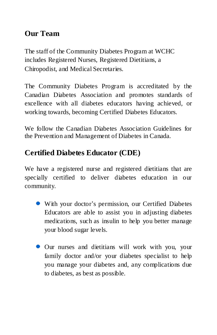### **Our Team**

The staff of the Community Diabetes Program at WCHC includes Registered Nurses, Registered Dietitians, a Chiropodist, and Medical Secretaries.

The Community Diabetes Program is accreditated by the Canadian Diabetes Association and promotes standards of excellence with all diabetes educators having achieved, or working towards, becoming Certified Diabetes Educators.

We follow the Canadian Diabetes Association Guidelines for the Prevention and Management of Diabetes in Canada.

# **Certified Diabetes Educator (CDE)**

We have a registered nurse and registered dietitians that are specially certified to deliver diabetes education in our community.

- With your doctor's permission, our Certified Diabetes Educators are able to assist you in adjusting diabetes medications, such as insulin to help you better manage your blood sugar levels.
- Our nurses and dietitians will work with you, your family doctor and/or your diabetes specialist to help you manage your diabetes and, any complications due to diabetes, as best as possible.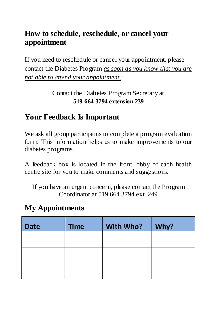#### **How to schedule, reschedule, or cancel your appointment**

If you need to reschedule or cancel your appointment, please contact the Diabetes Program *as soon as you know that you are not able to attend your appointment:*

> Contact the Diabetes Program Secretary at **519-664-3794 extension 239**

# **Your Feedback Is Important**

We ask all group participants to complete a program evaluation form. This information helps us to make improvements to our diabetes programs.

A feedback box is located in the front lobby of each health centre site for you to make comments and suggestions.

If you have an urgent concern, please contact the Program Coordinator at 519 664 3794 ext. 249

#### **My Appointments**

| <b>Date</b> | <b>Time</b> | With Who? | Why? |
|-------------|-------------|-----------|------|
|             |             |           |      |
|             |             |           |      |
|             |             |           |      |